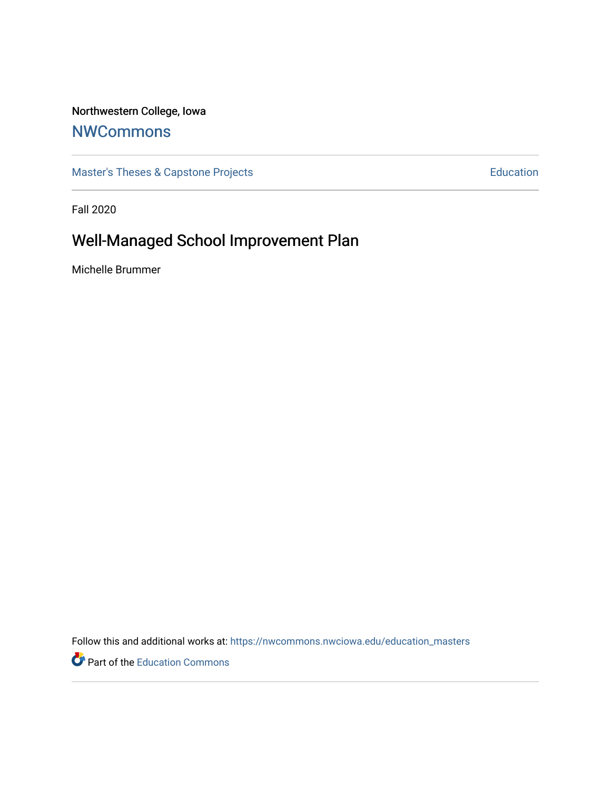# Northwestern College, Iowa

# **[NWCommons](https://nwcommons.nwciowa.edu/)**

[Master's Theses & Capstone Projects](https://nwcommons.nwciowa.edu/education_masters) **Education** Education

Fall 2020

# Well-Managed School Improvement Plan

Michelle Brummer

Follow this and additional works at: [https://nwcommons.nwciowa.edu/education\\_masters](https://nwcommons.nwciowa.edu/education_masters?utm_source=nwcommons.nwciowa.edu%2Feducation_masters%2F250&utm_medium=PDF&utm_campaign=PDFCoverPages)

Part of the [Education Commons](http://network.bepress.com/hgg/discipline/784?utm_source=nwcommons.nwciowa.edu%2Feducation_masters%2F250&utm_medium=PDF&utm_campaign=PDFCoverPages)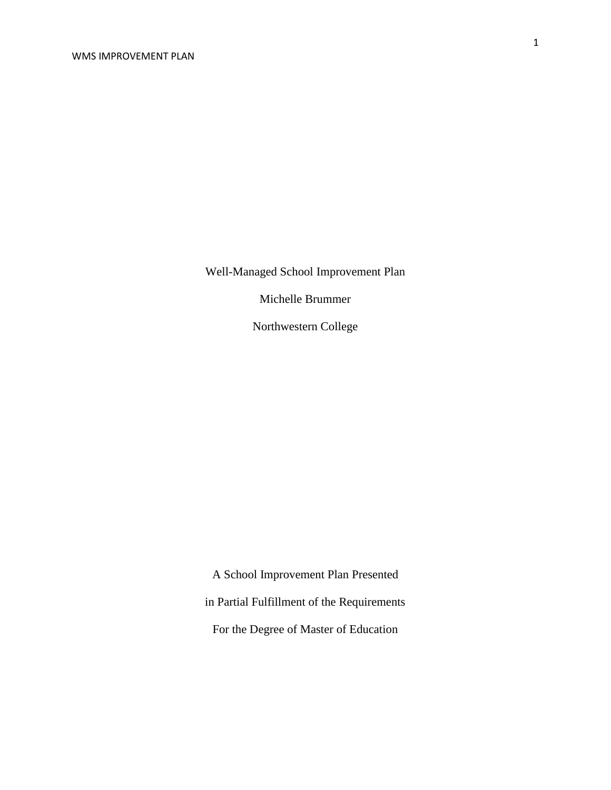Well-Managed School Improvement Plan

Michelle Brummer

Northwestern College

A School Improvement Plan Presented in Partial Fulfillment of the Requirements For the Degree of Master of Education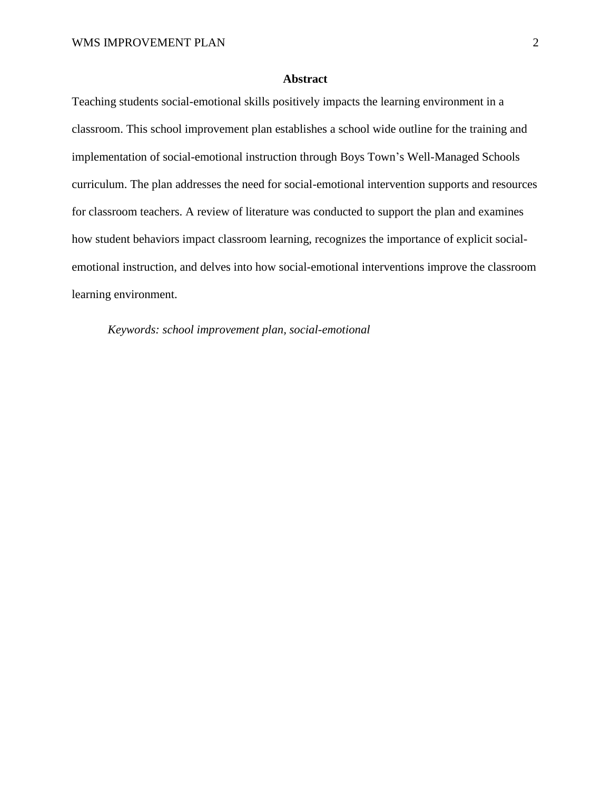# **Abstract**

Teaching students social-emotional skills positively impacts the learning environment in a classroom. This school improvement plan establishes a school wide outline for the training and implementation of social-emotional instruction through Boys Town's Well-Managed Schools curriculum. The plan addresses the need for social-emotional intervention supports and resources for classroom teachers. A review of literature was conducted to support the plan and examines how student behaviors impact classroom learning, recognizes the importance of explicit socialemotional instruction, and delves into how social-emotional interventions improve the classroom learning environment.

*Keywords: school improvement plan, social-emotional*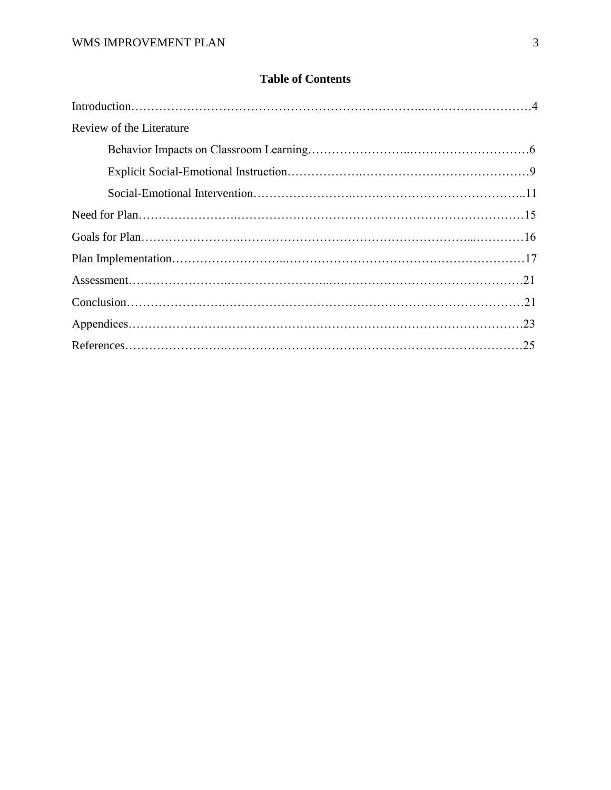# **Table of Contents**

| Review of the Literature |  |
|--------------------------|--|
|                          |  |
|                          |  |
|                          |  |
|                          |  |
|                          |  |
|                          |  |
|                          |  |
|                          |  |
|                          |  |
|                          |  |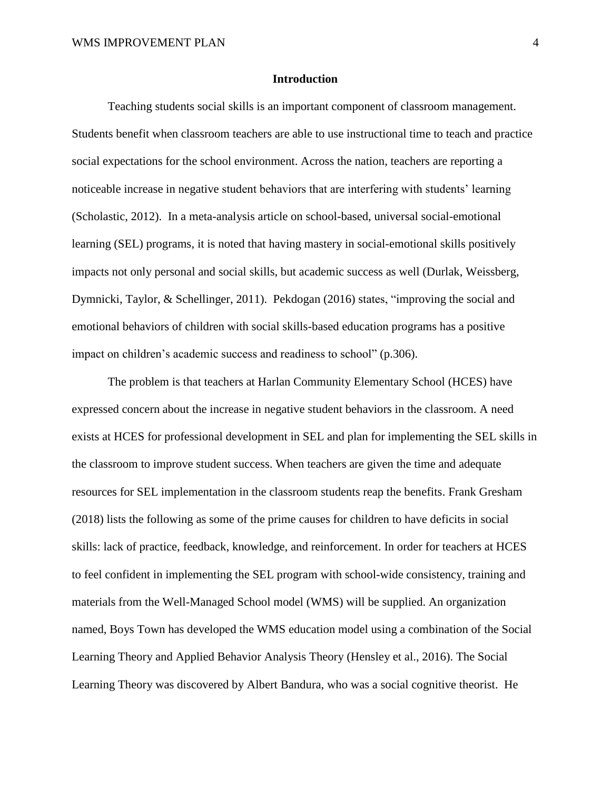## **Introduction**

Teaching students social skills is an important component of classroom management. Students benefit when classroom teachers are able to use instructional time to teach and practice social expectations for the school environment. Across the nation, teachers are reporting a noticeable increase in negative student behaviors that are interfering with students' learning (Scholastic, 2012). In a meta-analysis article on school-based, universal social-emotional learning (SEL) programs, it is noted that having mastery in social-emotional skills positively impacts not only personal and social skills, but academic success as well (Durlak, Weissberg, Dymnicki, Taylor, & Schellinger, 2011). Pekdogan (2016) states, "improving the social and emotional behaviors of children with social skills-based education programs has a positive impact on children's academic success and readiness to school" (p.306).

The problem is that teachers at Harlan Community Elementary School (HCES) have expressed concern about the increase in negative student behaviors in the classroom. A need exists at HCES for professional development in SEL and plan for implementing the SEL skills in the classroom to improve student success. When teachers are given the time and adequate resources for SEL implementation in the classroom students reap the benefits. Frank Gresham (2018) lists the following as some of the prime causes for children to have deficits in social skills: lack of practice, feedback, knowledge, and reinforcement. In order for teachers at HCES to feel confident in implementing the SEL program with school-wide consistency, training and materials from the Well-Managed School model (WMS) will be supplied. An organization named, Boys Town has developed the WMS education model using a combination of the Social Learning Theory and Applied Behavior Analysis Theory (Hensley et al., 2016). The Social Learning Theory was discovered by Albert Bandura, who was a social cognitive theorist. He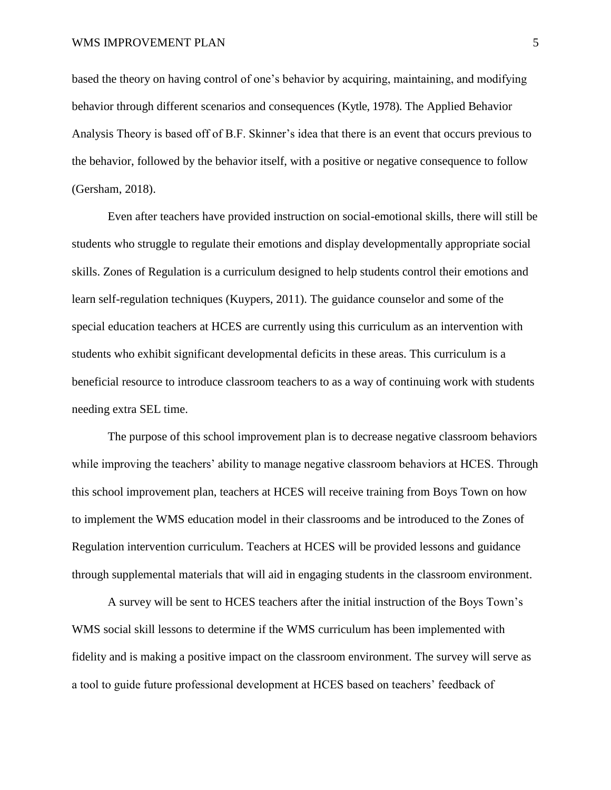based the theory on having control of one's behavior by acquiring, maintaining, and modifying behavior through different scenarios and consequences (Kytle, 1978). The Applied Behavior Analysis Theory is based off of B.F. Skinner's idea that there is an event that occurs previous to the behavior, followed by the behavior itself, with a positive or negative consequence to follow (Gersham, 2018).

Even after teachers have provided instruction on social-emotional skills, there will still be students who struggle to regulate their emotions and display developmentally appropriate social skills. Zones of Regulation is a curriculum designed to help students control their emotions and learn self-regulation techniques (Kuypers, 2011). The guidance counselor and some of the special education teachers at HCES are currently using this curriculum as an intervention with students who exhibit significant developmental deficits in these areas. This curriculum is a beneficial resource to introduce classroom teachers to as a way of continuing work with students needing extra SEL time.

The purpose of this school improvement plan is to decrease negative classroom behaviors while improving the teachers' ability to manage negative classroom behaviors at HCES. Through this school improvement plan, teachers at HCES will receive training from Boys Town on how to implement the WMS education model in their classrooms and be introduced to the Zones of Regulation intervention curriculum. Teachers at HCES will be provided lessons and guidance through supplemental materials that will aid in engaging students in the classroom environment.

A survey will be sent to HCES teachers after the initial instruction of the Boys Town's WMS social skill lessons to determine if the WMS curriculum has been implemented with fidelity and is making a positive impact on the classroom environment. The survey will serve as a tool to guide future professional development at HCES based on teachers' feedback of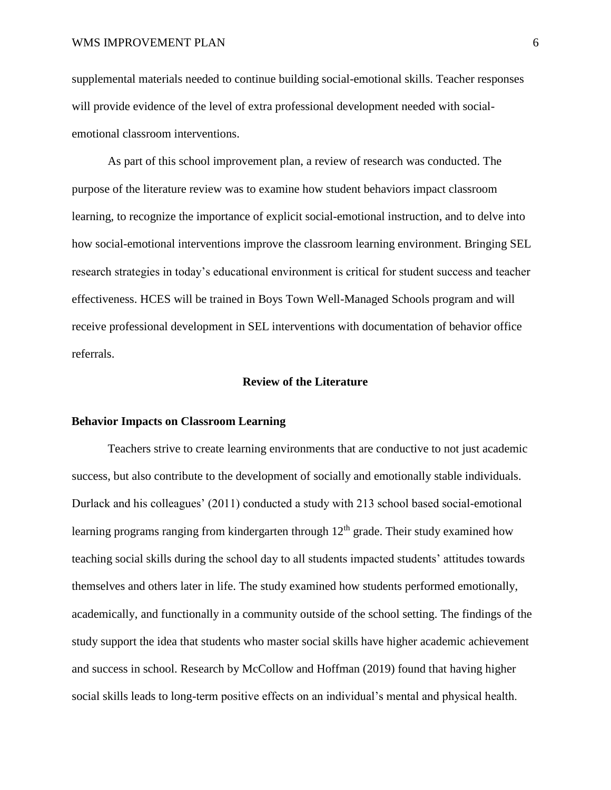supplemental materials needed to continue building social-emotional skills. Teacher responses will provide evidence of the level of extra professional development needed with socialemotional classroom interventions.

As part of this school improvement plan, a review of research was conducted. The purpose of the literature review was to examine how student behaviors impact classroom learning, to recognize the importance of explicit social-emotional instruction, and to delve into how social-emotional interventions improve the classroom learning environment. Bringing SEL research strategies in today's educational environment is critical for student success and teacher effectiveness. HCES will be trained in Boys Town Well-Managed Schools program and will receive professional development in SEL interventions with documentation of behavior office referrals.

## **Review of the Literature**

## **Behavior Impacts on Classroom Learning**

Teachers strive to create learning environments that are conductive to not just academic success, but also contribute to the development of socially and emotionally stable individuals. Durlack and his colleagues' (2011) conducted a study with 213 school based social-emotional learning programs ranging from kindergarten through  $12<sup>th</sup>$  grade. Their study examined how teaching social skills during the school day to all students impacted students' attitudes towards themselves and others later in life. The study examined how students performed emotionally, academically, and functionally in a community outside of the school setting. The findings of the study support the idea that students who master social skills have higher academic achievement and success in school. Research by McCollow and Hoffman (2019) found that having higher social skills leads to long-term positive effects on an individual's mental and physical health.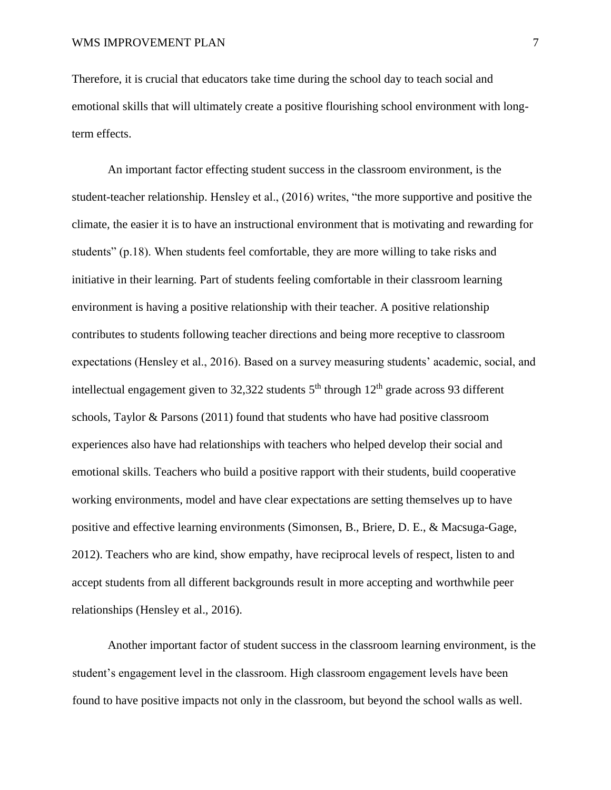Therefore, it is crucial that educators take time during the school day to teach social and emotional skills that will ultimately create a positive flourishing school environment with longterm effects.

An important factor effecting student success in the classroom environment, is the student-teacher relationship. Hensley et al., (2016) writes, "the more supportive and positive the climate, the easier it is to have an instructional environment that is motivating and rewarding for students" (p.18). When students feel comfortable, they are more willing to take risks and initiative in their learning. Part of students feeling comfortable in their classroom learning environment is having a positive relationship with their teacher. A positive relationship contributes to students following teacher directions and being more receptive to classroom expectations (Hensley et al., 2016). Based on a survey measuring students' academic, social, and intellectual engagement given to 32,322 students  $5<sup>th</sup>$  through  $12<sup>th</sup>$  grade across 93 different schools, Taylor & Parsons (2011) found that students who have had positive classroom experiences also have had relationships with teachers who helped develop their social and emotional skills. Teachers who build a positive rapport with their students, build cooperative working environments, model and have clear expectations are setting themselves up to have positive and effective learning environments (Simonsen, B., Briere, D. E., & Macsuga-Gage, 2012). Teachers who are kind, show empathy, have reciprocal levels of respect, listen to and accept students from all different backgrounds result in more accepting and worthwhile peer relationships (Hensley et al., 2016).

Another important factor of student success in the classroom learning environment, is the student's engagement level in the classroom. High classroom engagement levels have been found to have positive impacts not only in the classroom, but beyond the school walls as well.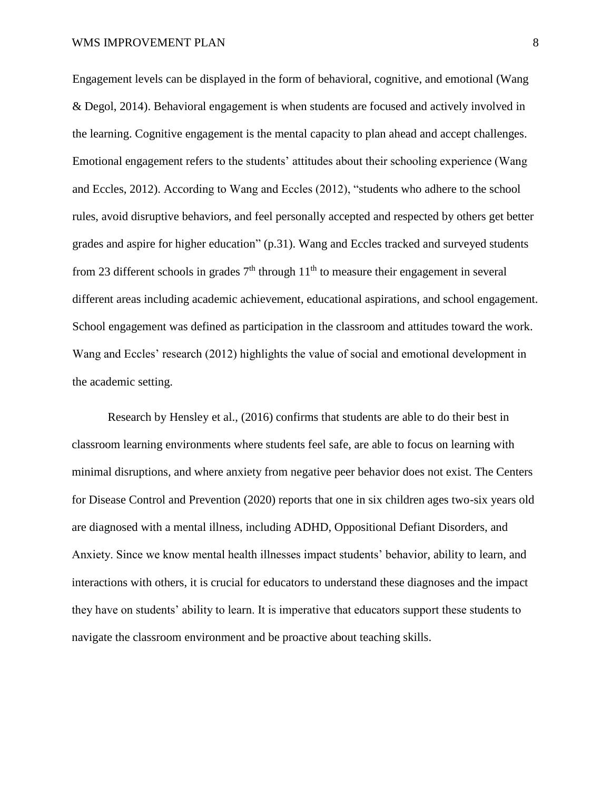Engagement levels can be displayed in the form of behavioral, cognitive, and emotional (Wang & Degol, 2014). Behavioral engagement is when students are focused and actively involved in the learning. Cognitive engagement is the mental capacity to plan ahead and accept challenges. Emotional engagement refers to the students' attitudes about their schooling experience (Wang and Eccles, 2012). According to Wang and Eccles (2012), "students who adhere to the school rules, avoid disruptive behaviors, and feel personally accepted and respected by others get better grades and aspire for higher education" (p.31). Wang and Eccles tracked and surveyed students from 23 different schools in grades  $7<sup>th</sup>$  through  $11<sup>th</sup>$  to measure their engagement in several different areas including academic achievement, educational aspirations, and school engagement. School engagement was defined as participation in the classroom and attitudes toward the work. Wang and Eccles' research (2012) highlights the value of social and emotional development in the academic setting.

Research by Hensley et al., (2016) confirms that students are able to do their best in classroom learning environments where students feel safe, are able to focus on learning with minimal disruptions, and where anxiety from negative peer behavior does not exist. The Centers for Disease Control and Prevention (2020) reports that one in six children ages two-six years old are diagnosed with a mental illness, including ADHD, Oppositional Defiant Disorders, and Anxiety. Since we know mental health illnesses impact students' behavior, ability to learn, and interactions with others, it is crucial for educators to understand these diagnoses and the impact they have on students' ability to learn. It is imperative that educators support these students to navigate the classroom environment and be proactive about teaching skills.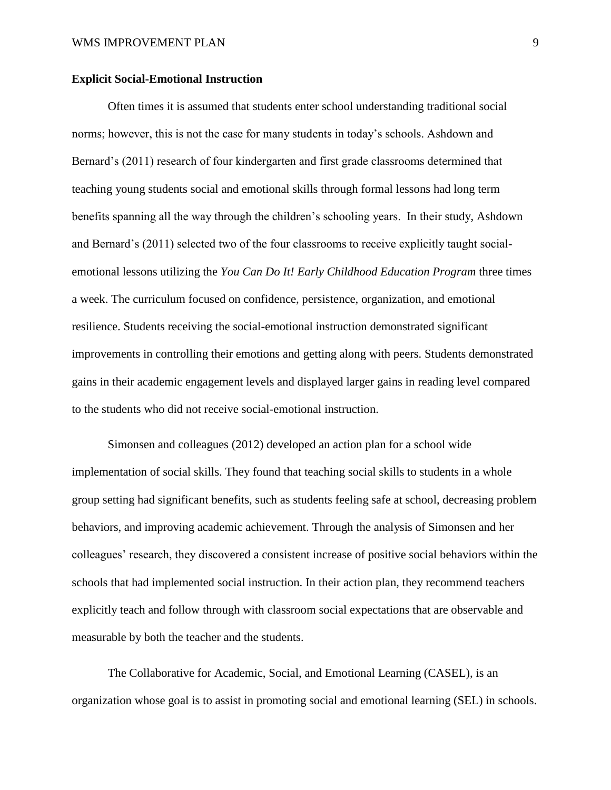## **Explicit Social-Emotional Instruction**

Often times it is assumed that students enter school understanding traditional social norms; however, this is not the case for many students in today's schools. Ashdown and Bernard's (2011) research of four kindergarten and first grade classrooms determined that teaching young students social and emotional skills through formal lessons had long term benefits spanning all the way through the children's schooling years. In their study, Ashdown and Bernard's (2011) selected two of the four classrooms to receive explicitly taught socialemotional lessons utilizing the *You Can Do It! Early Childhood Education Program* three times a week. The curriculum focused on confidence, persistence, organization, and emotional resilience. Students receiving the social-emotional instruction demonstrated significant improvements in controlling their emotions and getting along with peers. Students demonstrated gains in their academic engagement levels and displayed larger gains in reading level compared to the students who did not receive social-emotional instruction.

Simonsen and colleagues (2012) developed an action plan for a school wide implementation of social skills. They found that teaching social skills to students in a whole group setting had significant benefits, such as students feeling safe at school, decreasing problem behaviors, and improving academic achievement. Through the analysis of Simonsen and her colleagues' research, they discovered a consistent increase of positive social behaviors within the schools that had implemented social instruction. In their action plan, they recommend teachers explicitly teach and follow through with classroom social expectations that are observable and measurable by both the teacher and the students.

The Collaborative for Academic, Social, and Emotional Learning (CASEL), is an organization whose goal is to assist in promoting social and emotional learning (SEL) in schools.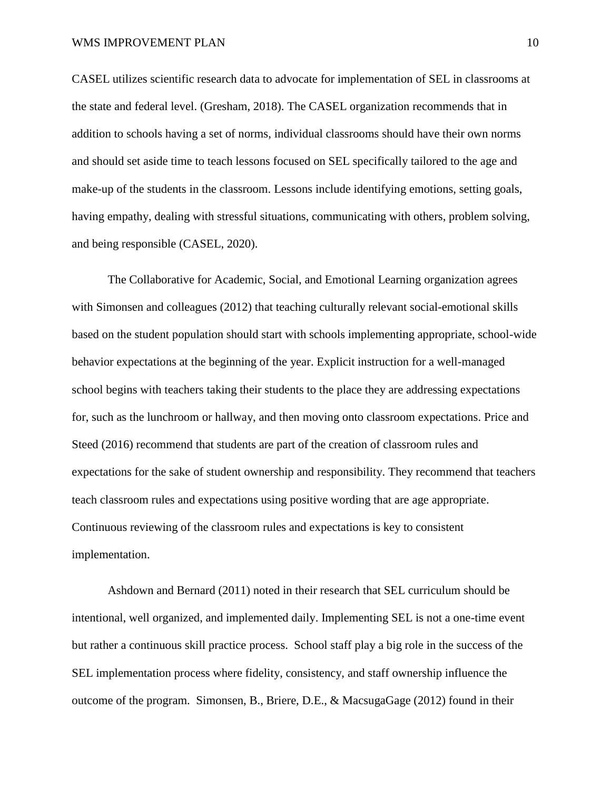## WMS IMPROVEMENT PLAN 10

CASEL utilizes scientific research data to advocate for implementation of SEL in classrooms at the state and federal level. (Gresham, 2018). The CASEL organization recommends that in addition to schools having a set of norms, individual classrooms should have their own norms and should set aside time to teach lessons focused on SEL specifically tailored to the age and make-up of the students in the classroom. Lessons include identifying emotions, setting goals, having empathy, dealing with stressful situations, communicating with others, problem solving, and being responsible (CASEL, 2020).

The Collaborative for Academic, Social, and Emotional Learning organization agrees with Simonsen and colleagues (2012) that teaching culturally relevant social-emotional skills based on the student population should start with schools implementing appropriate, school-wide behavior expectations at the beginning of the year. Explicit instruction for a well-managed school begins with teachers taking their students to the place they are addressing expectations for, such as the lunchroom or hallway, and then moving onto classroom expectations. Price and Steed (2016) recommend that students are part of the creation of classroom rules and expectations for the sake of student ownership and responsibility. They recommend that teachers teach classroom rules and expectations using positive wording that are age appropriate. Continuous reviewing of the classroom rules and expectations is key to consistent implementation.

Ashdown and Bernard (2011) noted in their research that SEL curriculum should be intentional, well organized, and implemented daily. Implementing SEL is not a one-time event but rather a continuous skill practice process. School staff play a big role in the success of the SEL implementation process where fidelity, consistency, and staff ownership influence the outcome of the program. Simonsen, B., Briere, D.E., & MacsugaGage (2012) found in their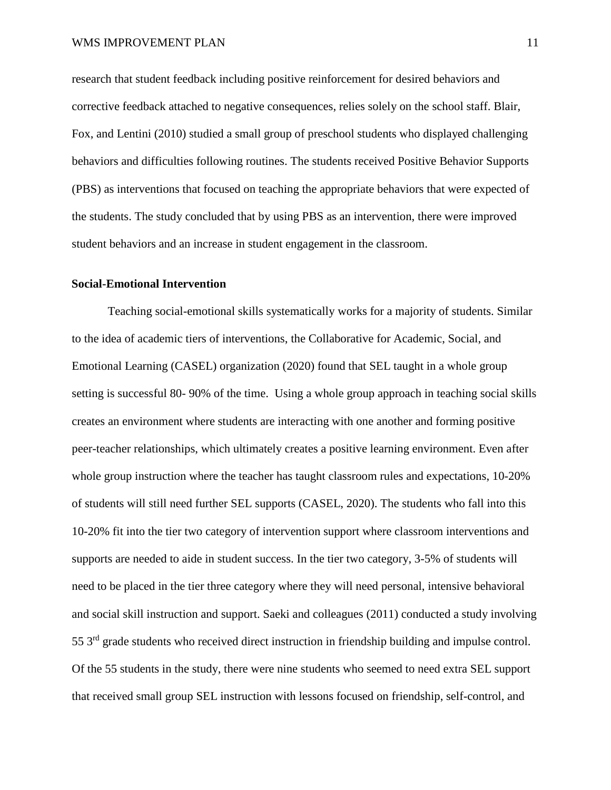research that student feedback including positive reinforcement for desired behaviors and corrective feedback attached to negative consequences, relies solely on the school staff. Blair, Fox, and Lentini (2010) studied a small group of preschool students who displayed challenging behaviors and difficulties following routines. The students received Positive Behavior Supports (PBS) as interventions that focused on teaching the appropriate behaviors that were expected of the students. The study concluded that by using PBS as an intervention, there were improved student behaviors and an increase in student engagement in the classroom.

#### **Social-Emotional Intervention**

Teaching social-emotional skills systematically works for a majority of students. Similar to the idea of academic tiers of interventions, the Collaborative for Academic, Social, and Emotional Learning (CASEL) organization (2020) found that SEL taught in a whole group setting is successful 80- 90% of the time. Using a whole group approach in teaching social skills creates an environment where students are interacting with one another and forming positive peer-teacher relationships, which ultimately creates a positive learning environment. Even after whole group instruction where the teacher has taught classroom rules and expectations, 10-20% of students will still need further SEL supports (CASEL, 2020). The students who fall into this 10-20% fit into the tier two category of intervention support where classroom interventions and supports are needed to aide in student success. In the tier two category, 3-5% of students will need to be placed in the tier three category where they will need personal, intensive behavioral and social skill instruction and support. Saeki and colleagues (2011) conducted a study involving 55 3rd grade students who received direct instruction in friendship building and impulse control. Of the 55 students in the study, there were nine students who seemed to need extra SEL support that received small group SEL instruction with lessons focused on friendship, self-control, and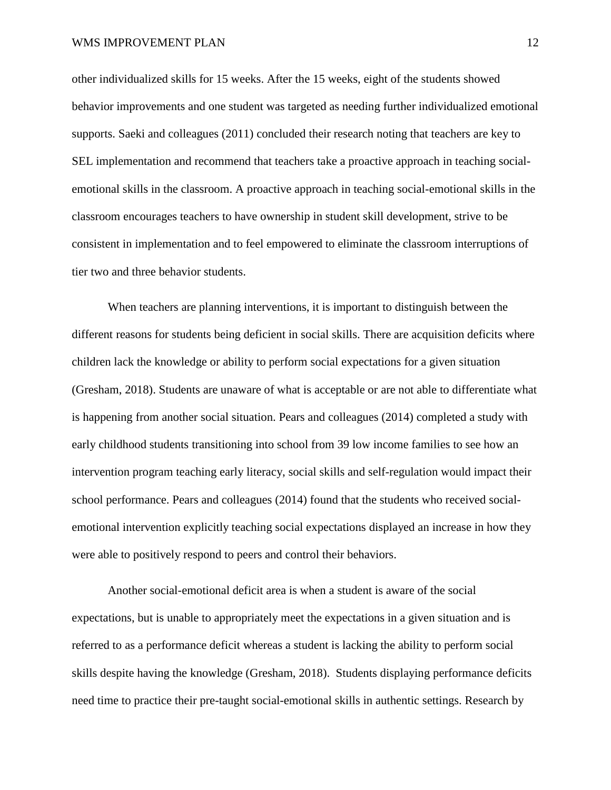other individualized skills for 15 weeks. After the 15 weeks, eight of the students showed behavior improvements and one student was targeted as needing further individualized emotional supports. Saeki and colleagues (2011) concluded their research noting that teachers are key to SEL implementation and recommend that teachers take a proactive approach in teaching socialemotional skills in the classroom. A proactive approach in teaching social-emotional skills in the classroom encourages teachers to have ownership in student skill development, strive to be consistent in implementation and to feel empowered to eliminate the classroom interruptions of tier two and three behavior students.

When teachers are planning interventions, it is important to distinguish between the different reasons for students being deficient in social skills. There are acquisition deficits where children lack the knowledge or ability to perform social expectations for a given situation (Gresham, 2018). Students are unaware of what is acceptable or are not able to differentiate what is happening from another social situation. Pears and colleagues (2014) completed a study with early childhood students transitioning into school from 39 low income families to see how an intervention program teaching early literacy, social skills and self-regulation would impact their school performance. Pears and colleagues (2014) found that the students who received socialemotional intervention explicitly teaching social expectations displayed an increase in how they were able to positively respond to peers and control their behaviors.

Another social-emotional deficit area is when a student is aware of the social expectations, but is unable to appropriately meet the expectations in a given situation and is referred to as a performance deficit whereas a student is lacking the ability to perform social skills despite having the knowledge (Gresham, 2018). Students displaying performance deficits need time to practice their pre-taught social-emotional skills in authentic settings. Research by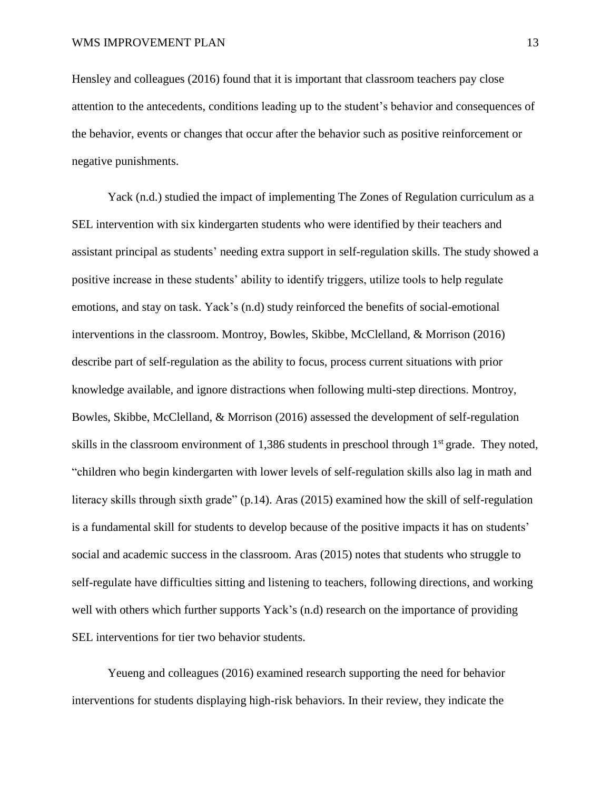Hensley and colleagues (2016) found that it is important that classroom teachers pay close attention to the antecedents, conditions leading up to the student's behavior and consequences of the behavior, events or changes that occur after the behavior such as positive reinforcement or negative punishments.

Yack (n.d.) studied the impact of implementing The Zones of Regulation curriculum as a SEL intervention with six kindergarten students who were identified by their teachers and assistant principal as students' needing extra support in self-regulation skills. The study showed a positive increase in these students' ability to identify triggers, utilize tools to help regulate emotions, and stay on task. Yack's (n.d) study reinforced the benefits of social-emotional interventions in the classroom. Montroy, Bowles, Skibbe, McClelland, & Morrison (2016) describe part of self-regulation as the ability to focus, process current situations with prior knowledge available, and ignore distractions when following multi-step directions. Montroy, Bowles, Skibbe, McClelland, & Morrison (2016) assessed the development of self-regulation skills in the classroom environment of 1,386 students in preschool through 1<sup>st</sup> grade. They noted, "children who begin kindergarten with lower levels of self-regulation skills also lag in math and literacy skills through sixth grade" (p.14). Aras (2015) examined how the skill of self-regulation is a fundamental skill for students to develop because of the positive impacts it has on students' social and academic success in the classroom. Aras (2015) notes that students who struggle to self-regulate have difficulties sitting and listening to teachers, following directions, and working well with others which further supports Yack's (n.d) research on the importance of providing SEL interventions for tier two behavior students.

Yeueng and colleagues (2016) examined research supporting the need for behavior interventions for students displaying high-risk behaviors. In their review, they indicate the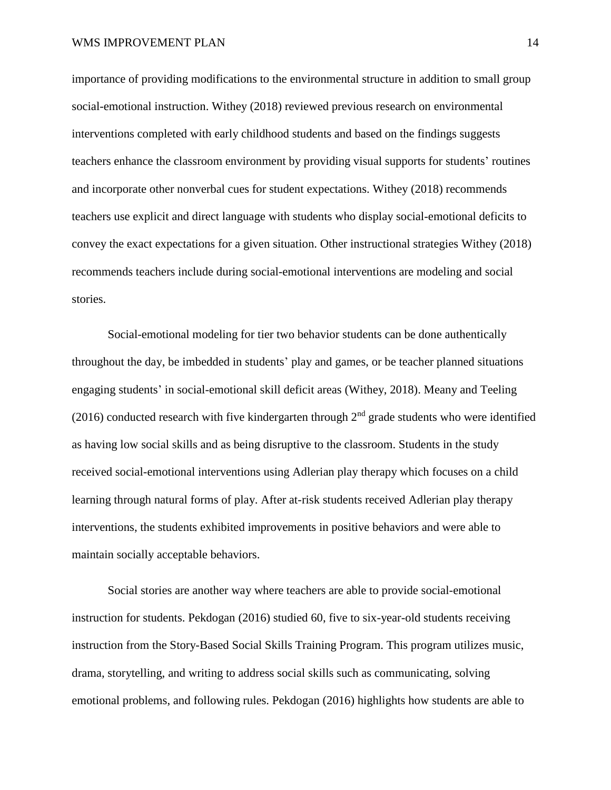## WMS IMPROVEMENT PLAN 14

importance of providing modifications to the environmental structure in addition to small group social-emotional instruction. Withey (2018) reviewed previous research on environmental interventions completed with early childhood students and based on the findings suggests teachers enhance the classroom environment by providing visual supports for students' routines and incorporate other nonverbal cues for student expectations. Withey (2018) recommends teachers use explicit and direct language with students who display social-emotional deficits to convey the exact expectations for a given situation. Other instructional strategies Withey (2018) recommends teachers include during social-emotional interventions are modeling and social stories.

Social-emotional modeling for tier two behavior students can be done authentically throughout the day, be imbedded in students' play and games, or be teacher planned situations engaging students' in social-emotional skill deficit areas (Withey, 2018). Meany and Teeling (2016) conducted research with five kindergarten through  $2<sup>nd</sup>$  grade students who were identified as having low social skills and as being disruptive to the classroom. Students in the study received social-emotional interventions using Adlerian play therapy which focuses on a child learning through natural forms of play. After at-risk students received Adlerian play therapy interventions, the students exhibited improvements in positive behaviors and were able to maintain socially acceptable behaviors.

Social stories are another way where teachers are able to provide social-emotional instruction for students. Pekdogan (2016) studied 60, five to six-year-old students receiving instruction from the Story-Based Social Skills Training Program. This program utilizes music, drama, storytelling, and writing to address social skills such as communicating, solving emotional problems, and following rules. Pekdogan (2016) highlights how students are able to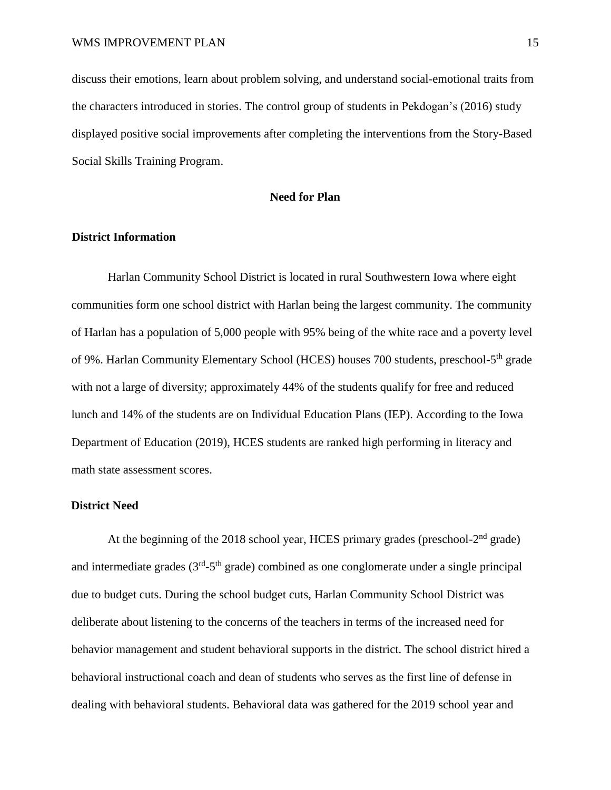discuss their emotions, learn about problem solving, and understand social-emotional traits from the characters introduced in stories. The control group of students in Pekdogan's (2016) study displayed positive social improvements after completing the interventions from the Story-Based Social Skills Training Program.

# **Need for Plan**

# **District Information**

Harlan Community School District is located in rural Southwestern Iowa where eight communities form one school district with Harlan being the largest community. The community of Harlan has a population of 5,000 people with 95% being of the white race and a poverty level of 9%. Harlan Community Elementary School (HCES) houses 700 students, preschool-5<sup>th</sup> grade with not a large of diversity; approximately 44% of the students qualify for free and reduced lunch and 14% of the students are on Individual Education Plans (IEP). According to the Iowa Department of Education (2019), HCES students are ranked high performing in literacy and math state assessment scores.

# **District Need**

At the beginning of the 2018 school year, HCES primary grades (preschool- $2<sup>nd</sup>$  grade) and intermediate grades  $(3<sup>rd</sup>-5<sup>th</sup>$  grade) combined as one conglomerate under a single principal due to budget cuts. During the school budget cuts, Harlan Community School District was deliberate about listening to the concerns of the teachers in terms of the increased need for behavior management and student behavioral supports in the district. The school district hired a behavioral instructional coach and dean of students who serves as the first line of defense in dealing with behavioral students. Behavioral data was gathered for the 2019 school year and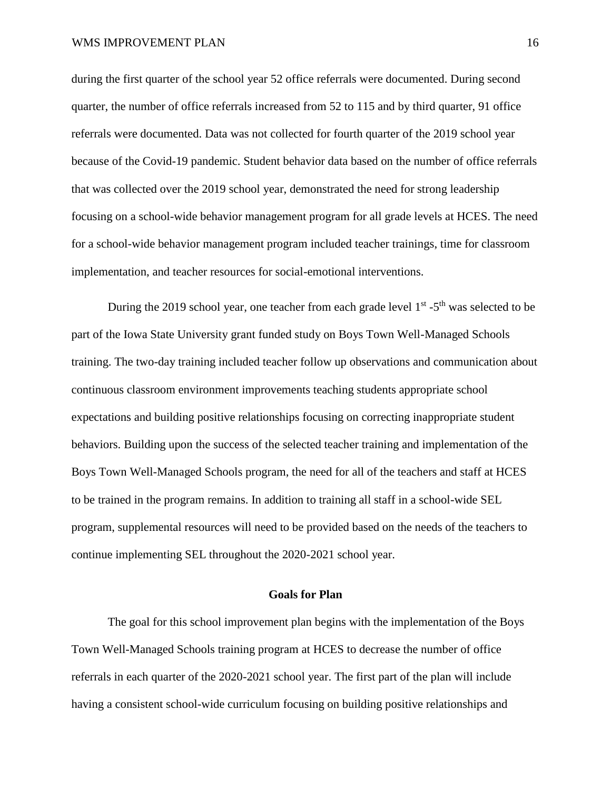during the first quarter of the school year 52 office referrals were documented. During second quarter, the number of office referrals increased from 52 to 115 and by third quarter, 91 office referrals were documented. Data was not collected for fourth quarter of the 2019 school year because of the Covid-19 pandemic. Student behavior data based on the number of office referrals that was collected over the 2019 school year, demonstrated the need for strong leadership focusing on a school-wide behavior management program for all grade levels at HCES. The need for a school-wide behavior management program included teacher trainings, time for classroom implementation, and teacher resources for social-emotional interventions.

During the 2019 school year, one teacher from each grade level 1<sup>st</sup> -5<sup>th</sup> was selected to be part of the Iowa State University grant funded study on Boys Town Well-Managed Schools training. The two-day training included teacher follow up observations and communication about continuous classroom environment improvements teaching students appropriate school expectations and building positive relationships focusing on correcting inappropriate student behaviors. Building upon the success of the selected teacher training and implementation of the Boys Town Well-Managed Schools program, the need for all of the teachers and staff at HCES to be trained in the program remains. In addition to training all staff in a school-wide SEL program, supplemental resources will need to be provided based on the needs of the teachers to continue implementing SEL throughout the 2020-2021 school year.

# **Goals for Plan**

The goal for this school improvement plan begins with the implementation of the Boys Town Well-Managed Schools training program at HCES to decrease the number of office referrals in each quarter of the 2020-2021 school year. The first part of the plan will include having a consistent school-wide curriculum focusing on building positive relationships and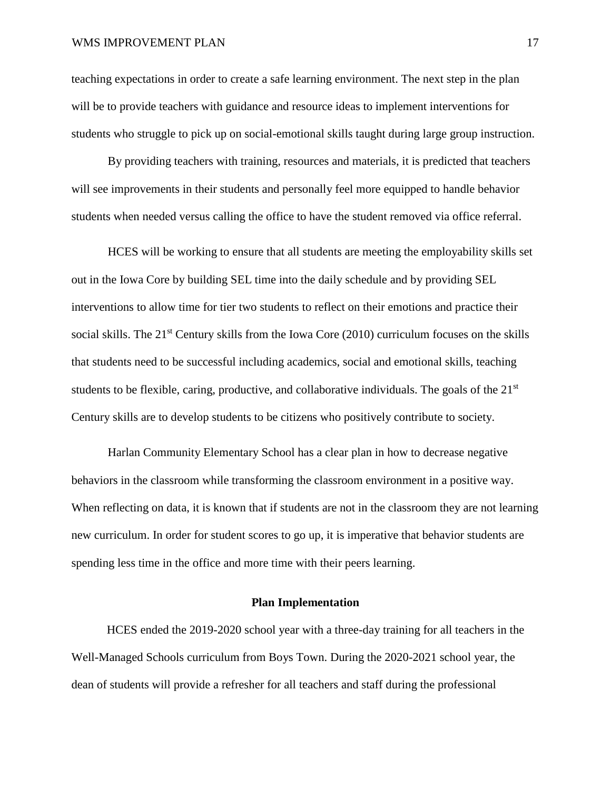## WMS IMPROVEMENT PLAN 17

teaching expectations in order to create a safe learning environment. The next step in the plan will be to provide teachers with guidance and resource ideas to implement interventions for students who struggle to pick up on social-emotional skills taught during large group instruction.

By providing teachers with training, resources and materials, it is predicted that teachers will see improvements in their students and personally feel more equipped to handle behavior students when needed versus calling the office to have the student removed via office referral.

HCES will be working to ensure that all students are meeting the employability skills set out in the Iowa Core by building SEL time into the daily schedule and by providing SEL interventions to allow time for tier two students to reflect on their emotions and practice their social skills. The  $21<sup>st</sup>$  Century skills from the Iowa Core (2010) curriculum focuses on the skills that students need to be successful including academics, social and emotional skills, teaching students to be flexible, caring, productive, and collaborative individuals. The goals of the  $21<sup>st</sup>$ Century skills are to develop students to be citizens who positively contribute to society.

Harlan Community Elementary School has a clear plan in how to decrease negative behaviors in the classroom while transforming the classroom environment in a positive way. When reflecting on data, it is known that if students are not in the classroom they are not learning new curriculum. In order for student scores to go up, it is imperative that behavior students are spending less time in the office and more time with their peers learning.

# **Plan Implementation**

HCES ended the 2019-2020 school year with a three-day training for all teachers in the Well-Managed Schools curriculum from Boys Town. During the 2020-2021 school year, the dean of students will provide a refresher for all teachers and staff during the professional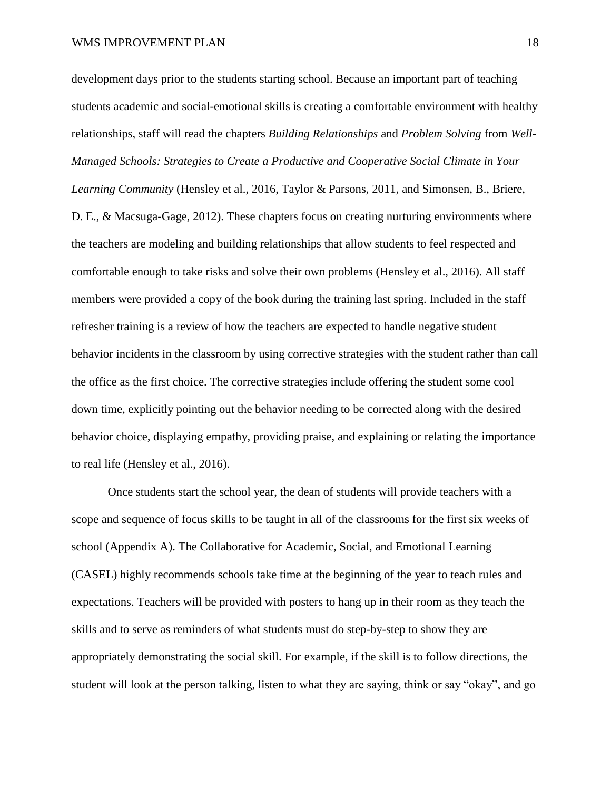development days prior to the students starting school. Because an important part of teaching students academic and social-emotional skills is creating a comfortable environment with healthy relationships, staff will read the chapters *Building Relationships* and *Problem Solving* from *Well-Managed Schools: Strategies to Create a Productive and Cooperative Social Climate in Your Learning Community* (Hensley et al., 2016, Taylor & Parsons, 2011, and Simonsen, B., Briere, D. E., & Macsuga-Gage, 2012). These chapters focus on creating nurturing environments where the teachers are modeling and building relationships that allow students to feel respected and comfortable enough to take risks and solve their own problems (Hensley et al., 2016). All staff members were provided a copy of the book during the training last spring. Included in the staff refresher training is a review of how the teachers are expected to handle negative student behavior incidents in the classroom by using corrective strategies with the student rather than call the office as the first choice. The corrective strategies include offering the student some cool down time, explicitly pointing out the behavior needing to be corrected along with the desired behavior choice, displaying empathy, providing praise, and explaining or relating the importance to real life (Hensley et al., 2016).

Once students start the school year, the dean of students will provide teachers with a scope and sequence of focus skills to be taught in all of the classrooms for the first six weeks of school (Appendix A). The Collaborative for Academic, Social, and Emotional Learning (CASEL) highly recommends schools take time at the beginning of the year to teach rules and expectations. Teachers will be provided with posters to hang up in their room as they teach the skills and to serve as reminders of what students must do step-by-step to show they are appropriately demonstrating the social skill. For example, if the skill is to follow directions, the student will look at the person talking, listen to what they are saying, think or say "okay", and go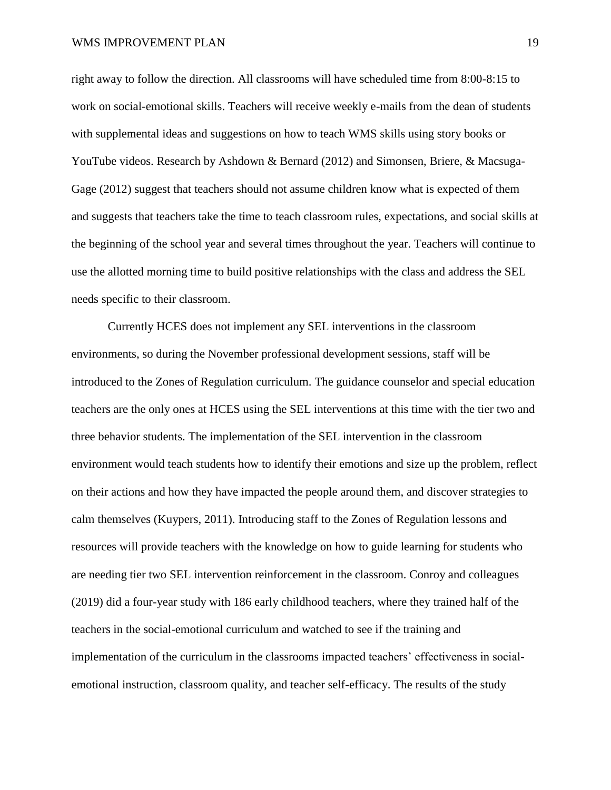right away to follow the direction. All classrooms will have scheduled time from 8:00-8:15 to work on social-emotional skills. Teachers will receive weekly e-mails from the dean of students with supplemental ideas and suggestions on how to teach WMS skills using story books or YouTube videos. Research by Ashdown & Bernard (2012) and Simonsen, Briere, & Macsuga-Gage (2012) suggest that teachers should not assume children know what is expected of them and suggests that teachers take the time to teach classroom rules, expectations, and social skills at the beginning of the school year and several times throughout the year. Teachers will continue to use the allotted morning time to build positive relationships with the class and address the SEL needs specific to their classroom.

Currently HCES does not implement any SEL interventions in the classroom environments, so during the November professional development sessions, staff will be introduced to the Zones of Regulation curriculum. The guidance counselor and special education teachers are the only ones at HCES using the SEL interventions at this time with the tier two and three behavior students. The implementation of the SEL intervention in the classroom environment would teach students how to identify their emotions and size up the problem, reflect on their actions and how they have impacted the people around them, and discover strategies to calm themselves (Kuypers, 2011). Introducing staff to the Zones of Regulation lessons and resources will provide teachers with the knowledge on how to guide learning for students who are needing tier two SEL intervention reinforcement in the classroom. Conroy and colleagues (2019) did a four-year study with 186 early childhood teachers, where they trained half of the teachers in the social-emotional curriculum and watched to see if the training and implementation of the curriculum in the classrooms impacted teachers' effectiveness in socialemotional instruction, classroom quality, and teacher self-efficacy. The results of the study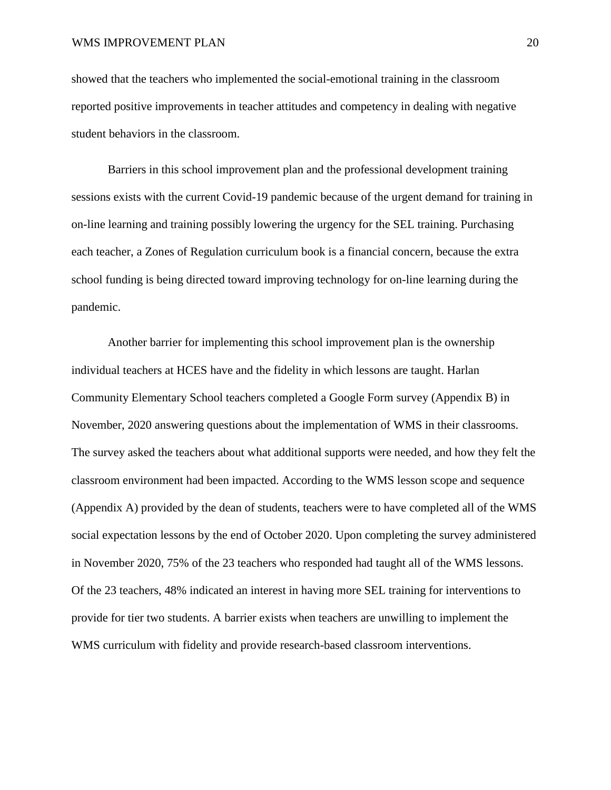showed that the teachers who implemented the social-emotional training in the classroom reported positive improvements in teacher attitudes and competency in dealing with negative student behaviors in the classroom.

Barriers in this school improvement plan and the professional development training sessions exists with the current Covid-19 pandemic because of the urgent demand for training in on-line learning and training possibly lowering the urgency for the SEL training. Purchasing each teacher, a Zones of Regulation curriculum book is a financial concern, because the extra school funding is being directed toward improving technology for on-line learning during the pandemic.

Another barrier for implementing this school improvement plan is the ownership individual teachers at HCES have and the fidelity in which lessons are taught. Harlan Community Elementary School teachers completed a Google Form survey (Appendix B) in November, 2020 answering questions about the implementation of WMS in their classrooms. The survey asked the teachers about what additional supports were needed, and how they felt the classroom environment had been impacted. According to the WMS lesson scope and sequence (Appendix A) provided by the dean of students, teachers were to have completed all of the WMS social expectation lessons by the end of October 2020. Upon completing the survey administered in November 2020, 75% of the 23 teachers who responded had taught all of the WMS lessons. Of the 23 teachers, 48% indicated an interest in having more SEL training for interventions to provide for tier two students. A barrier exists when teachers are unwilling to implement the WMS curriculum with fidelity and provide research-based classroom interventions.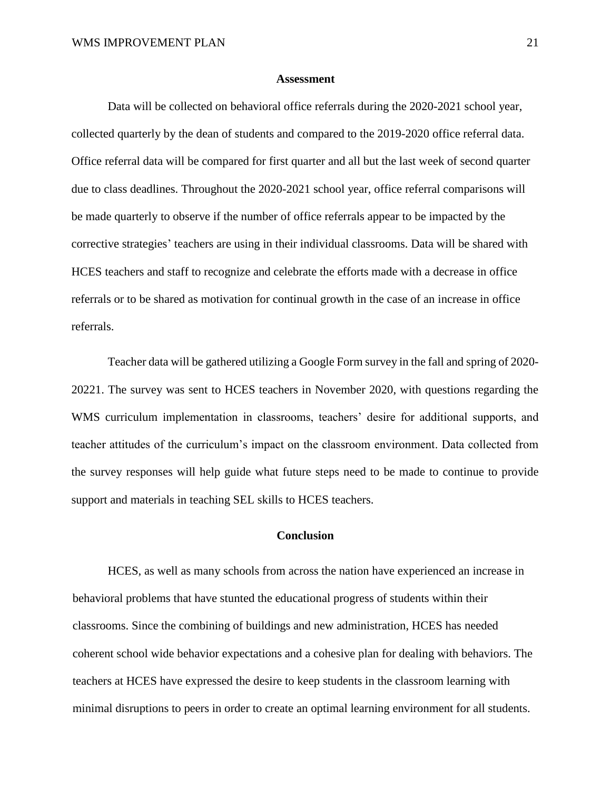## **Assessment**

Data will be collected on behavioral office referrals during the 2020-2021 school year, collected quarterly by the dean of students and compared to the 2019-2020 office referral data. Office referral data will be compared for first quarter and all but the last week of second quarter due to class deadlines. Throughout the 2020-2021 school year, office referral comparisons will be made quarterly to observe if the number of office referrals appear to be impacted by the corrective strategies' teachers are using in their individual classrooms. Data will be shared with HCES teachers and staff to recognize and celebrate the efforts made with a decrease in office referrals or to be shared as motivation for continual growth in the case of an increase in office referrals.

Teacher data will be gathered utilizing a Google Form survey in the fall and spring of 2020- 20221. The survey was sent to HCES teachers in November 2020, with questions regarding the WMS curriculum implementation in classrooms, teachers' desire for additional supports, and teacher attitudes of the curriculum's impact on the classroom environment. Data collected from the survey responses will help guide what future steps need to be made to continue to provide support and materials in teaching SEL skills to HCES teachers.

## **Conclusion**

HCES, as well as many schools from across the nation have experienced an increase in behavioral problems that have stunted the educational progress of students within their classrooms. Since the combining of buildings and new administration, HCES has needed coherent school wide behavior expectations and a cohesive plan for dealing with behaviors. The teachers at HCES have expressed the desire to keep students in the classroom learning with minimal disruptions to peers in order to create an optimal learning environment for all students.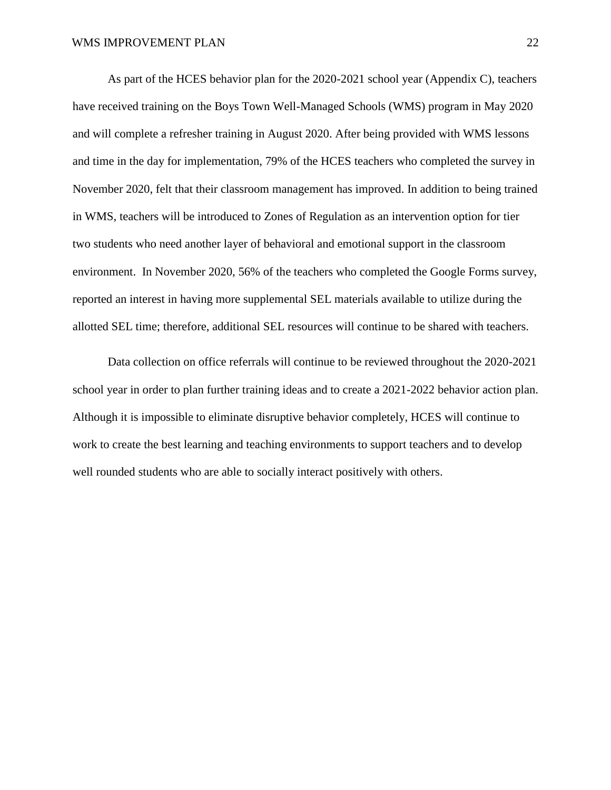As part of the HCES behavior plan for the 2020-2021 school year (Appendix C), teachers have received training on the Boys Town Well-Managed Schools (WMS) program in May 2020 and will complete a refresher training in August 2020. After being provided with WMS lessons and time in the day for implementation, 79% of the HCES teachers who completed the survey in November 2020, felt that their classroom management has improved. In addition to being trained in WMS, teachers will be introduced to Zones of Regulation as an intervention option for tier two students who need another layer of behavioral and emotional support in the classroom environment. In November 2020, 56% of the teachers who completed the Google Forms survey, reported an interest in having more supplemental SEL materials available to utilize during the allotted SEL time; therefore, additional SEL resources will continue to be shared with teachers.

Data collection on office referrals will continue to be reviewed throughout the 2020-2021 school year in order to plan further training ideas and to create a 2021-2022 behavior action plan. Although it is impossible to eliminate disruptive behavior completely, HCES will continue to work to create the best learning and teaching environments to support teachers and to develop well rounded students who are able to socially interact positively with others.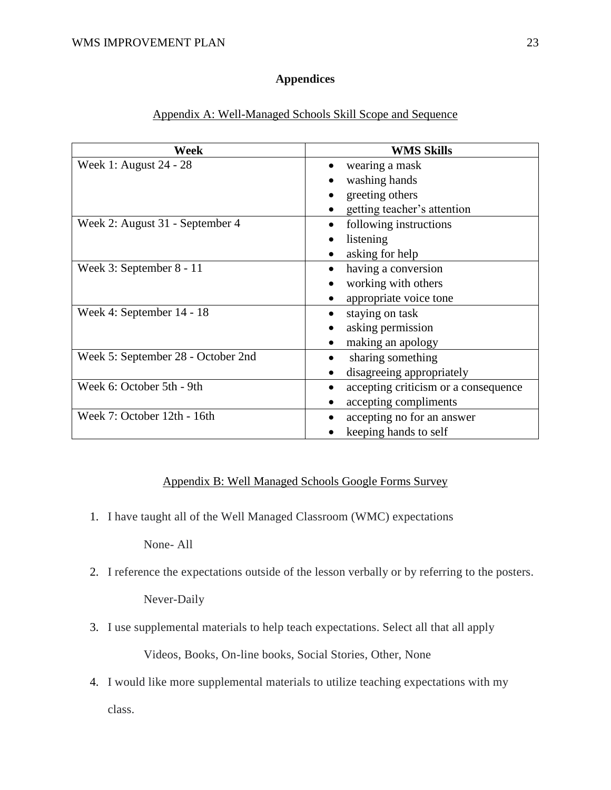# **Appendices**

| Week                               | <b>WMS Skills</b>                                 |
|------------------------------------|---------------------------------------------------|
| Week 1: August 24 - 28             | wearing a mask<br>$\bullet$                       |
|                                    | washing hands                                     |
|                                    | greeting others                                   |
|                                    | getting teacher's attention                       |
| Week 2: August 31 - September 4    | following instructions                            |
|                                    | listening                                         |
|                                    | asking for help                                   |
| Week 3: September 8 - 11           | having a conversion                               |
|                                    | working with others                               |
|                                    | appropriate voice tone                            |
| Week 4: September 14 - 18          | staying on task                                   |
|                                    | asking permission                                 |
|                                    | making an apology                                 |
| Week 5: September 28 - October 2nd | sharing something                                 |
|                                    | disagreeing appropriately                         |
| Week 6: October 5th - 9th          | accepting criticism or a consequence<br>$\bullet$ |
|                                    | accepting compliments                             |
| Week 7: October 12th - 16th        | accepting no for an answer                        |
|                                    | keeping hands to self                             |

# Appendix A: Well-Managed Schools Skill Scope and Sequence

# Appendix B: Well Managed Schools Google Forms Survey

1. I have taught all of the Well Managed Classroom (WMC) expectations

None- All

2. I reference the expectations outside of the lesson verbally or by referring to the posters.

Never-Daily

- 3. I use supplemental materials to help teach expectations. Select all that all apply Videos, Books, On-line books, Social Stories, Other, None
- 4. I would like more supplemental materials to utilize teaching expectations with my class.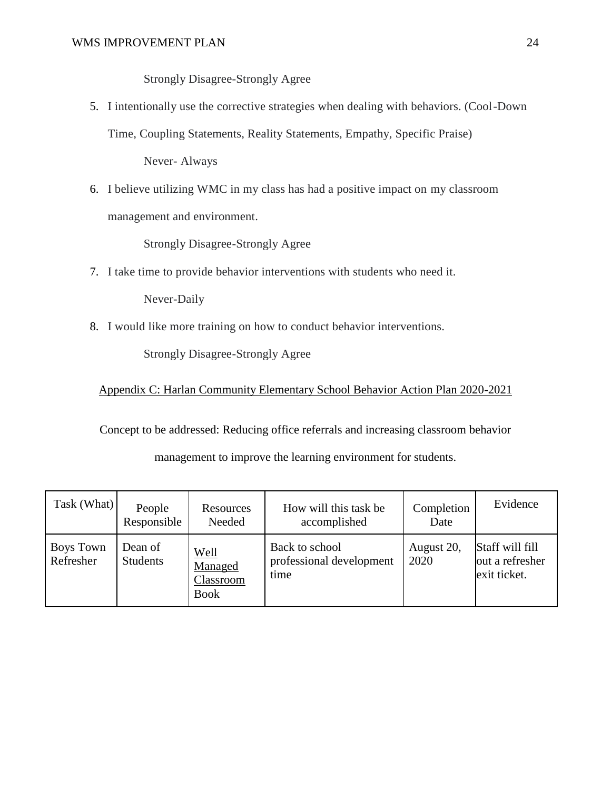Strongly Disagree-Strongly Agree

5. I intentionally use the corrective strategies when dealing with behaviors. (Cool-Down

Time, Coupling Statements, Reality Statements, Empathy, Specific Praise)

Never- Always

6. I believe utilizing WMC in my class has had a positive impact on my classroom management and environment.

Strongly Disagree-Strongly Agree

7. I take time to provide behavior interventions with students who need it.

Never-Daily

8. I would like more training on how to conduct behavior interventions.

Strongly Disagree-Strongly Agree

Appendix C: Harlan Community Elementary School Behavior Action Plan 2020-2021

Concept to be addressed: Reducing office referrals and increasing classroom behavior

# management to improve the learning environment for students.

| Task (What)            | People<br>Responsible      | Resources<br>Needed                                | How will this task be<br>accomplished              | Completion<br>Date | Evidence                                           |
|------------------------|----------------------------|----------------------------------------------------|----------------------------------------------------|--------------------|----------------------------------------------------|
| Boys Town<br>Refresher | Dean of<br><b>Students</b> | <b>Well</b><br>Managed<br>Classroom<br><b>Book</b> | Back to school<br>professional development<br>time | August 20,<br>2020 | Staff will fill<br>out a refresher<br>exit ticket. |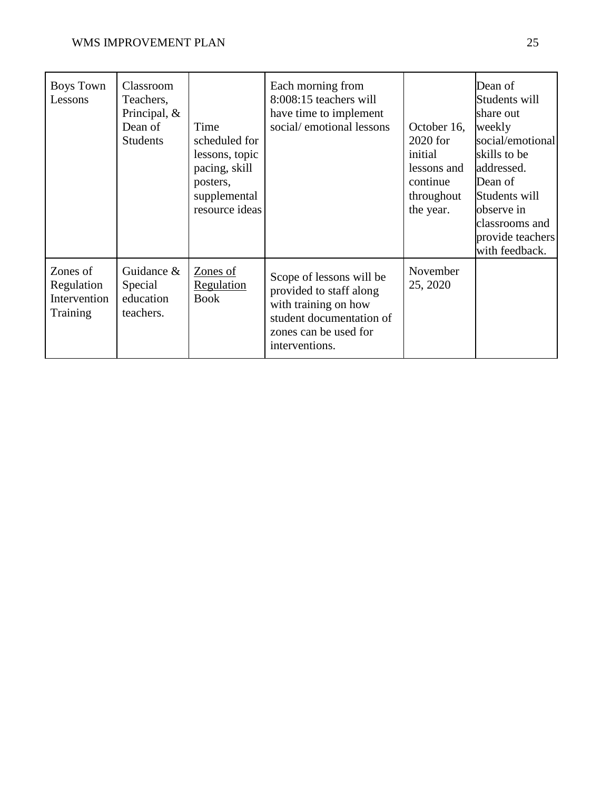| Boys Town<br>Lessons                               | Classroom<br>Teachers,<br>Principal, $&$<br>Dean of<br><b>Students</b> | Time<br>scheduled for<br>lessons, topic<br>pacing, skill<br>posters,<br>supplemental<br>resource ideas | Each morning from<br>8:008:15 teachers will<br>have time to implement<br>social/emotional lessons                                                  | October 16,<br>2020 for<br>initial<br>lessons and<br>continue<br>throughout<br>the year. | Dean of<br>Students will<br>share out<br>weekly<br>social/emotional<br>skills to be<br>addressed.<br>Dean of<br>Students will<br>observe in<br>classrooms and<br>provide teachers<br>with feedback. |
|----------------------------------------------------|------------------------------------------------------------------------|--------------------------------------------------------------------------------------------------------|----------------------------------------------------------------------------------------------------------------------------------------------------|------------------------------------------------------------------------------------------|-----------------------------------------------------------------------------------------------------------------------------------------------------------------------------------------------------|
| Zones of<br>Regulation<br>Intervention<br>Training | Guidance $&$<br>Special<br>education<br>teachers.                      | Zones of<br><b>Regulation</b><br><b>Book</b>                                                           | Scope of lessons will be<br>provided to staff along<br>with training on how<br>student documentation of<br>zones can be used for<br>interventions. | November<br>25, 2020                                                                     |                                                                                                                                                                                                     |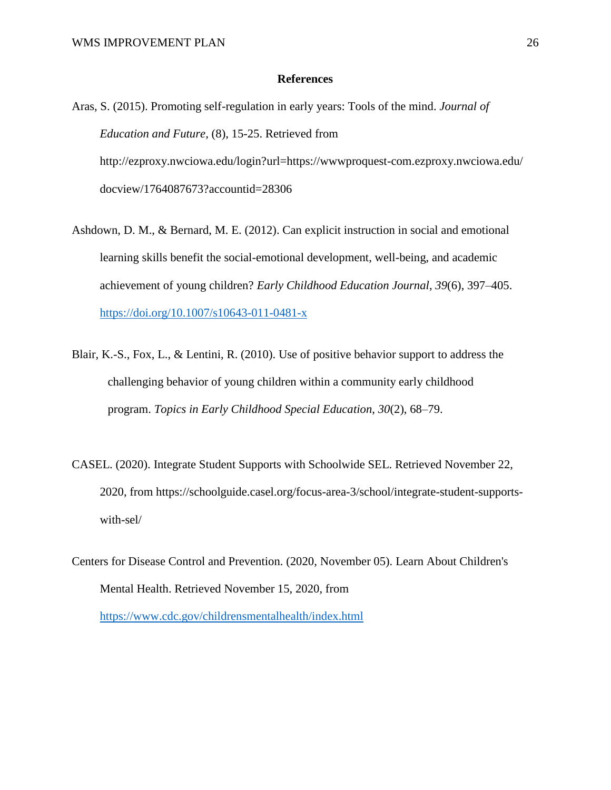## **References**

- Aras, S. (2015). Promoting self-regulation in early years: Tools of the mind. *Journal of Education and Future,* (8), 15-25. Retrieved from http://ezproxy.nwciowa.edu/login?url=https://wwwproquest-com.ezproxy.nwciowa.edu/ docview/1764087673?accountid=28306
- Ashdown, D. M., & Bernard, M. E. (2012). Can explicit instruction in social and emotional learning skills benefit the social-emotional development, well-being, and academic achievement of young children? *Early Childhood Education Journal*, *39*(6), 397–405. https://doi.org/10.1007/s10643-011-0481-x
- Blair, K.-S., Fox, L., & Lentini, R. (2010). Use of positive behavior support to address the challenging behavior of young children within a community early childhood program. *Topics in Early Childhood Special Education*, *30*(2), 68–79.
- CASEL. (2020). Integrate Student Supports with Schoolwide SEL. Retrieved November 22, 2020, from https://schoolguide.casel.org/focus-area-3/school/integrate-student-supportswith-sel/
- Centers for Disease Control and Prevention. (2020, November 05). Learn About Children's Mental Health. Retrieved November 15, 2020, from https://www.cdc.gov/childrensmentalhealth/index.html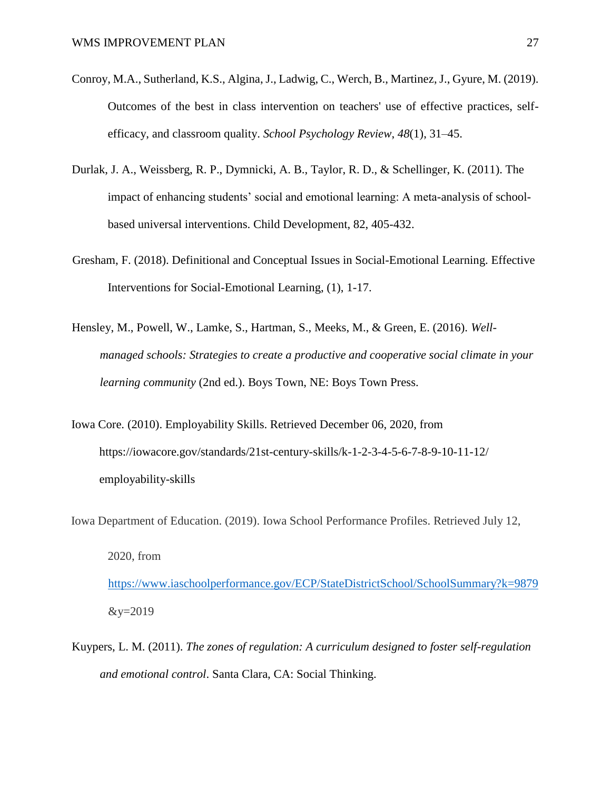- Conroy, M.A., Sutherland, K.S., Algina, J., Ladwig, C., Werch, B., Martinez, J., Gyure, M. (2019). Outcomes of the best in class intervention on teachers' use of effective practices, selfefficacy, and classroom quality. *School Psychology Review*, *48*(1), 31–45.
- Durlak, J. A., Weissberg, R. P., Dymnicki, A. B., Taylor, R. D., & Schellinger, K. (2011). The impact of enhancing students' social and emotional learning: A meta-analysis of schoolbased universal interventions. Child Development, 82, 405-432.
- Gresham, F. (2018). Definitional and Conceptual Issues in Social-Emotional Learning. Effective Interventions for Social-Emotional Learning, (1), 1-17.
- Hensley, M., Powell, W., Lamke, S., Hartman, S., Meeks, M., & Green, E. (2016). *Wellmanaged schools: Strategies to create a productive and cooperative social climate in your learning community* (2nd ed.). Boys Town, NE: Boys Town Press.
- Iowa Core. (2010). Employability Skills. Retrieved December 06, 2020, from https://iowacore.gov/standards/21st-century-skills/k-1-2-3-4-5-6-7-8-9-10-11-12/ employability-skills
- Iowa Department of Education. (2019). Iowa School Performance Profiles. Retrieved July 12, 2020, from <https://www.iaschoolperformance.gov/ECP/StateDistrictSchool/SchoolSummary?k=9879>  $&y=2019$
- Kuypers, L. M. (2011). *The zones of regulation: A curriculum designed to foster self-regulation and emotional control*. Santa Clara, CA: Social Thinking.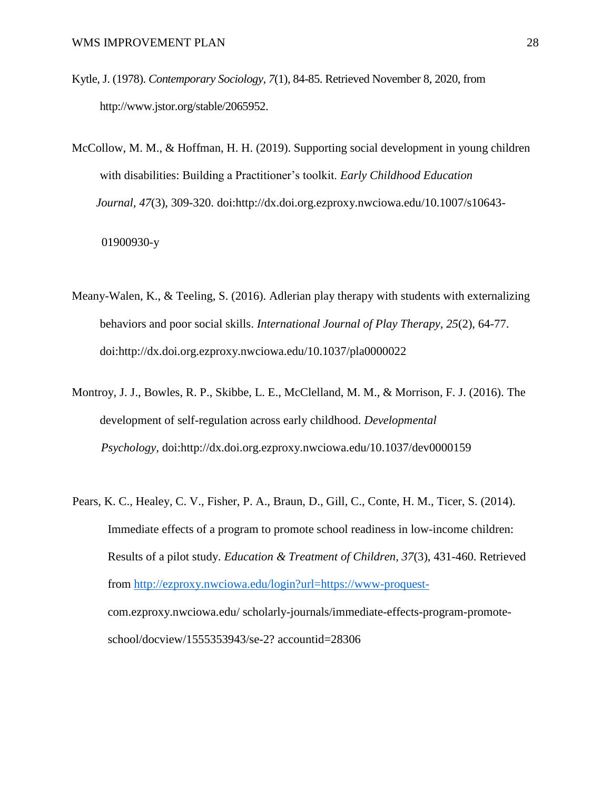- Kytle, J. (1978). *Contemporary Sociology, 7*(1), 84-85. Retrieved November 8, 2020, from [http://www.jstor.org/stable/2065952.](http://www.jstor.org/stable/2065952)
- McCollow, M. M., & Hoffman, H. H. (2019). Supporting social development in young children with disabilities: Building a Practitioner's toolkit. *Early Childhood Education Journal, 47*(3), 309-320. doi:http://dx.doi.org.ezproxy.nwciowa.edu/10.1007/s10643-

01900930-y

- Meany-Walen, K., & Teeling, S. (2016). Adlerian play therapy with students with externalizing behaviors and poor social skills. *International Journal of Play Therapy, 25*(2), 64-77. doi:http://dx.doi.org.ezproxy.nwciowa.edu/10.1037/pla0000022
- Montroy, J. J., Bowles, R. P., Skibbe, L. E., McClelland, M. M., & Morrison, F. J. (2016). The development of self-regulation across early childhood. *Developmental Psychology,* doi:http://dx.doi.org.ezproxy.nwciowa.edu/10.1037/dev0000159
- Pears, K. C., Healey, C. V., Fisher, P. A., Braun, D., Gill, C., Conte, H. M., Ticer, S. (2014). Immediate effects of a program to promote school readiness in low-income children: Results of a pilot study. *Education & Treatment of Children, 37*(3), 431-460. Retrieved from [http://ezproxy.nwciowa.edu/login?url=https://www-proquest](http://ezproxy.nwciowa.edu/login?url=https://www-proquest-)com.ezproxy.nwciowa.edu/ scholarly-journals/immediate-effects-program-promoteschool/docview/1555353943/se-2? accountid=28306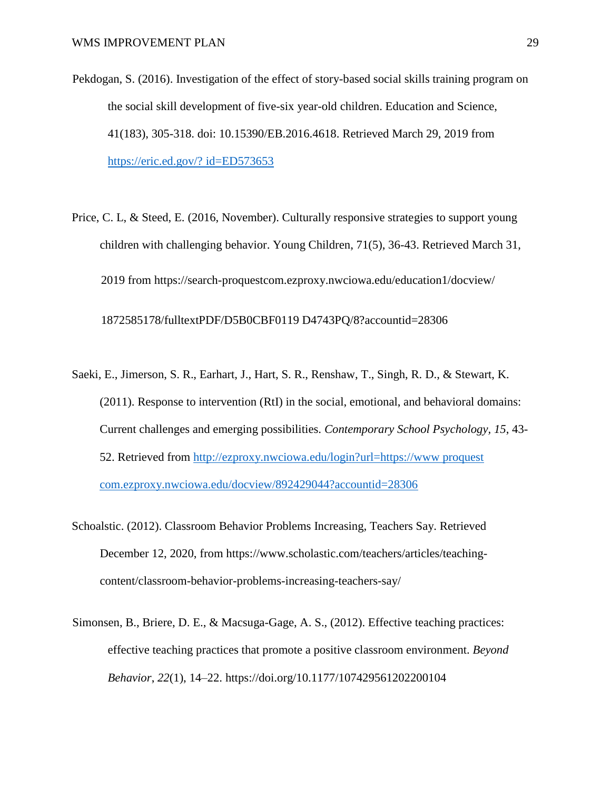- Pekdogan, S. (2016). Investigation of the effect of story-based social skills training program on the social skill development of five-six year-old children. Education and Science, 41(183), 305-318. doi: 10.15390/EB.2016.4618. Retrieved March 29, 2019 from https://eric.ed.gov/? id=ED573653
- Price, C. L, & Steed, E. (2016, November). Culturally responsive strategies to support young children with challenging behavior. Young Children, 71(5), 36-43. Retrieved March 31, 2019 from https://search-proquestcom.ezproxy.nwciowa.edu/education1/docview/

1872585178/fulltextPDF/D5B0CBF0119 D4743PQ/8?accountid=28306

- Saeki, E., Jimerson, S. R., Earhart, J., Hart, S. R., Renshaw, T., Singh, R. D., & Stewart, K. (2011). Response to intervention (RtI) in the social, emotional, and behavioral domains: Current challenges and emerging possibilities. *Contemporary School Psychology, 15*, 43- 52. Retrieved from http://ezproxy.nwciowa.edu/login?url=https://www proquest com.ezproxy.nwciowa.edu/docview/892429044?accountid=28306
- Schoalstic. (2012). Classroom Behavior Problems Increasing, Teachers Say. Retrieved December 12, 2020, from https://www.scholastic.com/teachers/articles/teachingcontent/classroom-behavior-problems-increasing-teachers-say/
- Simonsen, B., Briere, D. E., & Macsuga-Gage, A. S., (2012). Effective teaching practices: effective teaching practices that promote a positive classroom environment. *Beyond Behavior*, *22*(1), 14–22. https://doi.org/10.1177/107429561202200104